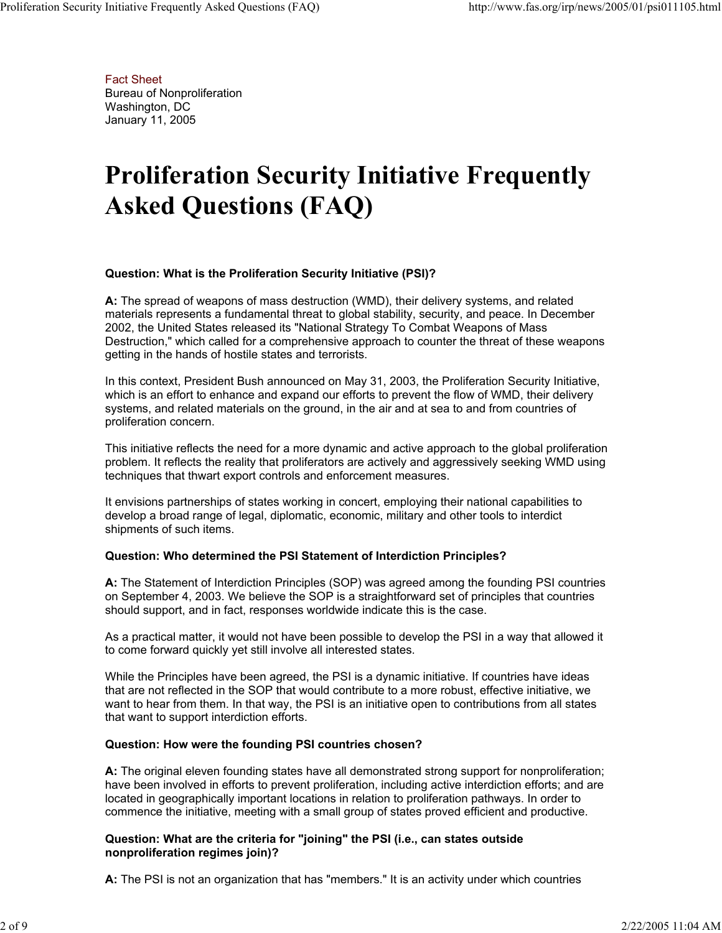Fact Sheet Bureau of Nonproliferation Washington, DC January 11, 2005

# **Proliferation Security Initiative Frequently Asked Questions (FAQ)**

# **Question: What is the Proliferation Security Initiative (PSI)?**

**A:** The spread of weapons of mass destruction (WMD), their delivery systems, and related materials represents a fundamental threat to global stability, security, and peace. In December 2002, the United States released its "National Strategy To Combat Weapons of Mass Destruction," which called for a comprehensive approach to counter the threat of these weapons getting in the hands of hostile states and terrorists.

In this context, President Bush announced on May 31, 2003, the Proliferation Security Initiative, which is an effort to enhance and expand our efforts to prevent the flow of WMD, their delivery systems, and related materials on the ground, in the air and at sea to and from countries of proliferation concern.

This initiative reflects the need for a more dynamic and active approach to the global proliferation problem. It reflects the reality that proliferators are actively and aggressively seeking WMD using techniques that thwart export controls and enforcement measures.

It envisions partnerships of states working in concert, employing their national capabilities to develop a broad range of legal, diplomatic, economic, military and other tools to interdict shipments of such items.

# **Question: Who determined the PSI Statement of Interdiction Principles?**

**A:** The Statement of Interdiction Principles (SOP) was agreed among the founding PSI countries on September 4, 2003. We believe the SOP is a straightforward set of principles that countries should support, and in fact, responses worldwide indicate this is the case.

As a practical matter, it would not have been possible to develop the PSI in a way that allowed it to come forward quickly yet still involve all interested states.

While the Principles have been agreed, the PSI is a dynamic initiative. If countries have ideas that are not reflected in the SOP that would contribute to a more robust, effective initiative, we want to hear from them. In that way, the PSI is an initiative open to contributions from all states that want to support interdiction efforts.

#### **Question: How were the founding PSI countries chosen?**

**A:** The original eleven founding states have all demonstrated strong support for nonproliferation; have been involved in efforts to prevent proliferation, including active interdiction efforts; and are located in geographically important locations in relation to proliferation pathways. In order to commence the initiative, meeting with a small group of states proved efficient and productive.

# **Question: What are the criteria for "joining" the PSI (i.e., can states outside nonproliferation regimes join)?**

**A:** The PSI is not an organization that has "members." It is an activity under which countries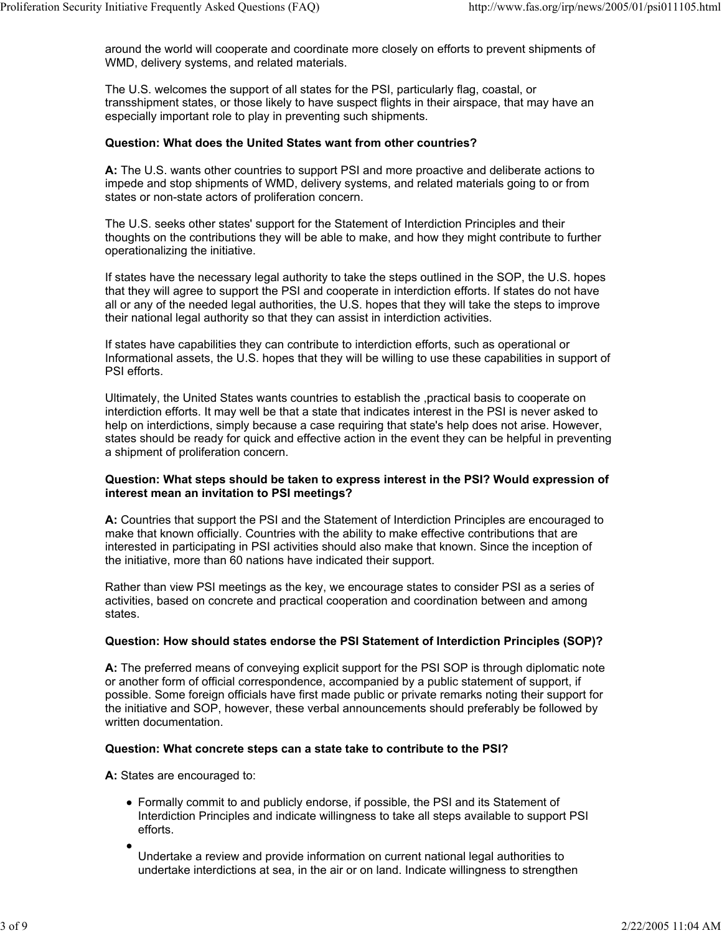around the world will cooperate and coordinate more closely on efforts to prevent shipments of WMD, delivery systems, and related materials.

The U.S. welcomes the support of all states for the PSI, particularly flag, coastal, or transshipment states, or those likely to have suspect flights in their airspace, that may have an especially important role to play in preventing such shipments.

#### **Question: What does the United States want from other countries?**

**A:** The U.S. wants other countries to support PSI and more proactive and deliberate actions to impede and stop shipments of WMD, delivery systems, and related materials going to or from states or non-state actors of proliferation concern.

The U.S. seeks other states' support for the Statement of Interdiction Principles and their thoughts on the contributions they will be able to make, and how they might contribute to further operationalizing the initiative.

If states have the necessary legal authority to take the steps outlined in the SOP, the U.S. hopes that they will agree to support the PSI and cooperate in interdiction efforts. If states do not have all or any of the needed legal authorities, the U.S. hopes that they will take the steps to improve their national legal authority so that they can assist in interdiction activities.

If states have capabilities they can contribute to interdiction efforts, such as operational or Informational assets, the U.S. hopes that they will be willing to use these capabilities in support of PSI efforts.

Ultimately, the United States wants countries to establish the ,practical basis to cooperate on interdiction efforts. It may well be that a state that indicates interest in the PSI is never asked to help on interdictions, simply because a case requiring that state's help does not arise. However, states should be ready for quick and effective action in the event they can be helpful in preventing a shipment of proliferation concern.

#### **Question: What steps should be taken to express interest in the PSI? Would expression of interest mean an invitation to PSI meetings?**

**A:** Countries that support the PSI and the Statement of Interdiction Principles are encouraged to make that known officially. Countries with the ability to make effective contributions that are interested in participating in PSI activities should also make that known. Since the inception of the initiative, more than 60 nations have indicated their support.

Rather than view PSI meetings as the key, we encourage states to consider PSI as a series of activities, based on concrete and practical cooperation and coordination between and among states.

#### **Question: How should states endorse the PSI Statement of Interdiction Principles (SOP)?**

**A:** The preferred means of conveying explicit support for the PSI SOP is through diplomatic note or another form of official correspondence, accompanied by a public statement of support, if possible. Some foreign officials have first made public or private remarks noting their support for the initiative and SOP, however, these verbal announcements should preferably be followed by written documentation.

#### **Question: What concrete steps can a state take to contribute to the PSI?**

**A:** States are encouraged to:

- Formally commit to and publicly endorse, if possible, the PSI and its Statement of Interdiction Principles and indicate willingness to take all steps available to support PSI efforts.
- Undertake a review and provide information on current national legal authorities to undertake interdictions at sea, in the air or on land. Indicate willingness to strengthen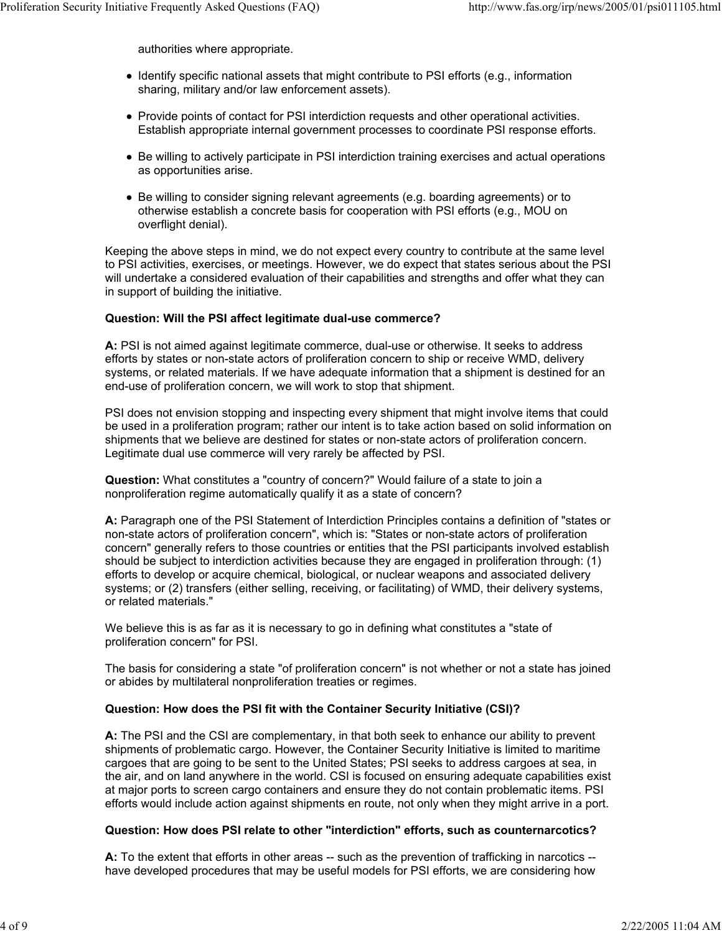authorities where appropriate.

- Identify specific national assets that might contribute to PSI efforts (e.g., information sharing, military and/or law enforcement assets).
- Provide points of contact for PSI interdiction requests and other operational activities. Establish appropriate internal government processes to coordinate PSI response efforts.
- Be willing to actively participate in PSI interdiction training exercises and actual operations as opportunities arise.
- Be willing to consider signing relevant agreements (e.g. boarding agreements) or to otherwise establish a concrete basis for cooperation with PSI efforts (e.g., MOU on overflight denial).

Keeping the above steps in mind, we do not expect every country to contribute at the same level to PSI activities, exercises, or meetings. However, we do expect that states serious about the PSI will undertake a considered evaluation of their capabilities and strengths and offer what they can in support of building the initiative.

# **Question: Will the PSI affect legitimate dual-use commerce?**

**A:** PSI is not aimed against legitimate commerce, dual-use or otherwise. It seeks to address efforts by states or non-state actors of proliferation concern to ship or receive WMD, delivery systems, or related materials. If we have adequate information that a shipment is destined for an end-use of proliferation concern, we will work to stop that shipment.

PSI does not envision stopping and inspecting every shipment that might involve items that could be used in a proliferation program; rather our intent is to take action based on solid information on shipments that we believe are destined for states or non-state actors of proliferation concern. Legitimate dual use commerce will very rarely be affected by PSI.

**Question:** What constitutes a "country of concern?" Would failure of a state to join a nonproliferation regime automatically qualify it as a state of concern?

**A:** Paragraph one of the PSI Statement of Interdiction Principles contains a definition of "states or non-state actors of proliferation concern", which is: "States or non-state actors of proliferation concern" generally refers to those countries or entities that the PSI participants involved establish should be subject to interdiction activities because they are engaged in proliferation through: (1) efforts to develop or acquire chemical, biological, or nuclear weapons and associated delivery systems; or (2) transfers (either selling, receiving, or facilitating) of WMD, their delivery systems, or related materials."

We believe this is as far as it is necessary to go in defining what constitutes a "state of proliferation concern" for PSI.

The basis for considering a state "of proliferation concern" is not whether or not a state has joined or abides by multilateral nonproliferation treaties or regimes.

#### **Question: How does the PSI fit with the Container Security Initiative (CSI)?**

**A:** The PSI and the CSI are complementary, in that both seek to enhance our ability to prevent shipments of problematic cargo. However, the Container Security Initiative is limited to maritime cargoes that are going to be sent to the United States; PSI seeks to address cargoes at sea, in the air, and on land anywhere in the world. CSI is focused on ensuring adequate capabilities exist at major ports to screen cargo containers and ensure they do not contain problematic items. PSI efforts would include action against shipments en route, not only when they might arrive in a port.

#### **Question: How does PSI relate to other "interdiction" efforts, such as counternarcotics?**

**A:** To the extent that efforts in other areas -- such as the prevention of trafficking in narcotics - have developed procedures that may be useful models for PSI efforts, we are considering how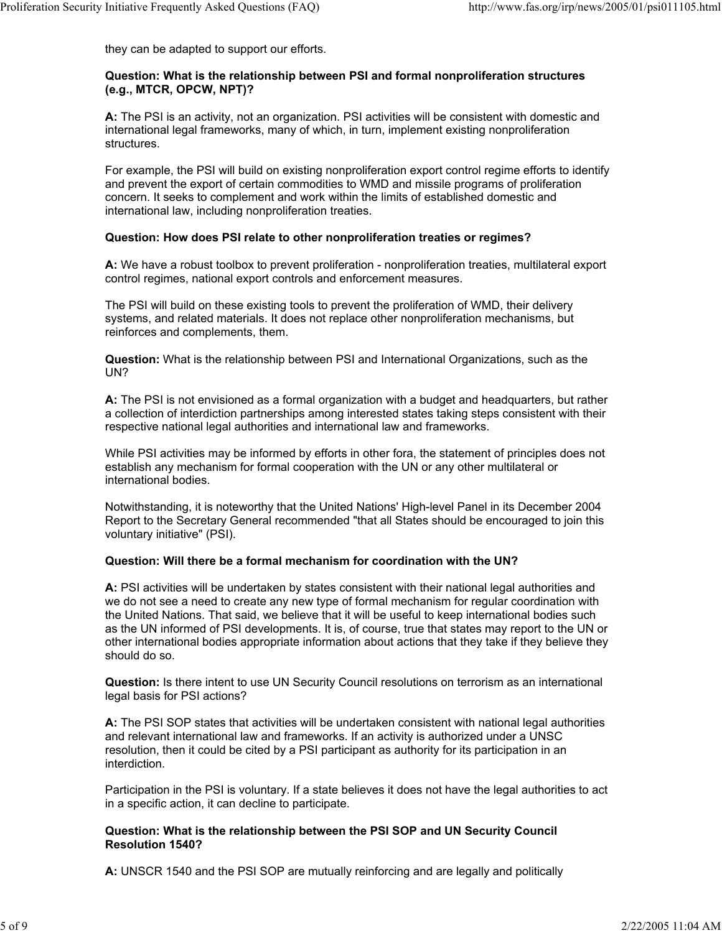they can be adapted to support our efforts.

## **Question: What is the relationship between PSI and formal nonproliferation structures (e.g., MTCR, OPCW, NPT)?**

**A:** The PSI is an activity, not an organization. PSI activities will be consistent with domestic and international legal frameworks, many of which, in turn, implement existing nonproliferation structures.

For example, the PSI will build on existing nonproliferation export control regime efforts to identify and prevent the export of certain commodities to WMD and missile programs of proliferation concern. It seeks to complement and work within the limits of established domestic and international law, including nonproliferation treaties.

# **Question: How does PSI relate to other nonproliferation treaties or regimes?**

**A:** We have a robust toolbox to prevent proliferation - nonproliferation treaties, multilateral export control regimes, national export controls and enforcement measures.

The PSI will build on these existing tools to prevent the proliferation of WMD, their delivery systems, and related materials. It does not replace other nonproliferation mechanisms, but reinforces and complements, them.

**Question:** What is the relationship between PSI and International Organizations, such as the UN?

**A:** The PSI is not envisioned as a formal organization with a budget and headquarters, but rather a collection of interdiction partnerships among interested states taking steps consistent with their respective national legal authorities and international law and frameworks.

While PSI activities may be informed by efforts in other fora, the statement of principles does not establish any mechanism for formal cooperation with the UN or any other multilateral or international bodies.

Notwithstanding, it is noteworthy that the United Nations' High-level Panel in its December 2004 Report to the Secretary General recommended "that all States should be encouraged to join this voluntary initiative" (PSI).

# **Question: Will there be a formal mechanism for coordination with the UN?**

**A:** PSI activities will be undertaken by states consistent with their national legal authorities and we do not see a need to create any new type of formal mechanism for regular coordination with the United Nations. That said, we believe that it will be useful to keep international bodies such as the UN informed of PSI developments. It is, of course, true that states may report to the UN or other international bodies appropriate information about actions that they take if they believe they should do so.

**Question:** Is there intent to use UN Security Council resolutions on terrorism as an international legal basis for PSI actions?

**A:** The PSI SOP states that activities will be undertaken consistent with national legal authorities and relevant international law and frameworks. If an activity is authorized under a UNSC resolution, then it could be cited by a PSI participant as authority for its participation in an interdiction.

Participation in the PSI is voluntary. If a state believes it does not have the legal authorities to act in a specific action, it can decline to participate.

#### **Question: What is the relationship between the PSI SOP and UN Security Council Resolution 1540?**

**A:** UNSCR 1540 and the PSI SOP are mutually reinforcing and are legally and politically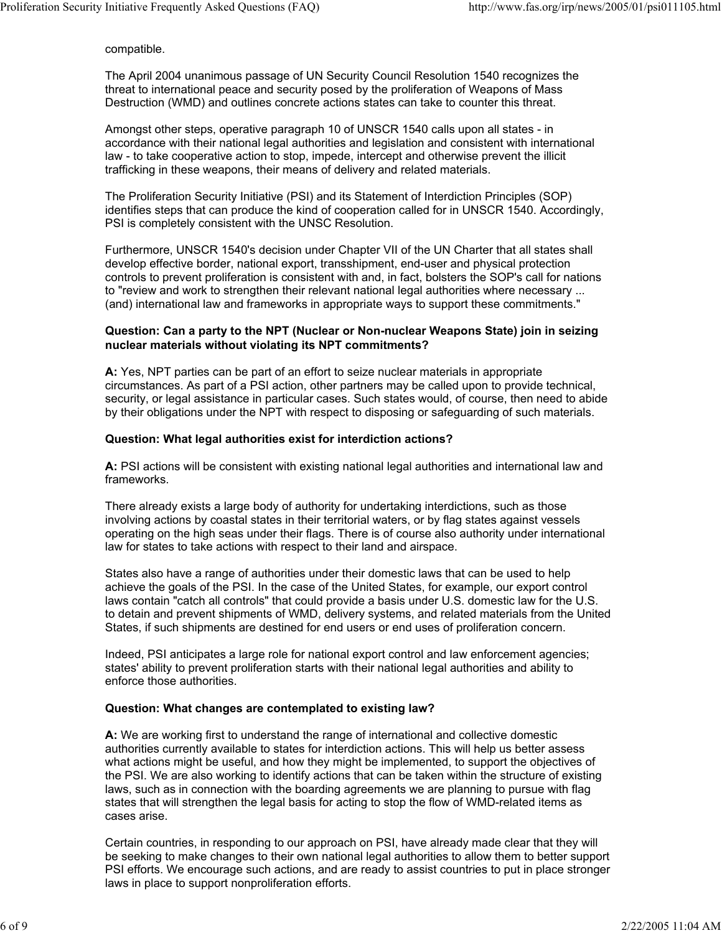compatible.

The April 2004 unanimous passage of UN Security Council Resolution 1540 recognizes the threat to international peace and security posed by the proliferation of Weapons of Mass Destruction (WMD) and outlines concrete actions states can take to counter this threat.

Amongst other steps, operative paragraph 10 of UNSCR 1540 calls upon all states - in accordance with their national legal authorities and legislation and consistent with international law - to take cooperative action to stop, impede, intercept and otherwise prevent the illicit trafficking in these weapons, their means of delivery and related materials.

The Proliferation Security Initiative (PSI) and its Statement of Interdiction Principles (SOP) identifies steps that can produce the kind of cooperation called for in UNSCR 1540. Accordingly, PSI is completely consistent with the UNSC Resolution.

Furthermore, UNSCR 1540's decision under Chapter VII of the UN Charter that all states shall develop effective border, national export, transshipment, end-user and physical protection controls to prevent proliferation is consistent with and, in fact, bolsters the SOP's call for nations to "review and work to strengthen their relevant national legal authorities where necessary ... (and) international law and frameworks in appropriate ways to support these commitments."

#### **Question: Can a party to the NPT (Nuclear or Non-nuclear Weapons State) join in seizing nuclear materials without violating its NPT commitments?**

**A:** Yes, NPT parties can be part of an effort to seize nuclear materials in appropriate circumstances. As part of a PSI action, other partners may be called upon to provide technical, security, or legal assistance in particular cases. Such states would, of course, then need to abide by their obligations under the NPT with respect to disposing or safeguarding of such materials.

#### **Question: What legal authorities exist for interdiction actions?**

**A:** PSI actions will be consistent with existing national legal authorities and international law and frameworks.

There already exists a large body of authority for undertaking interdictions, such as those involving actions by coastal states in their territorial waters, or by flag states against vessels operating on the high seas under their flags. There is of course also authority under international law for states to take actions with respect to their land and airspace.

States also have a range of authorities under their domestic laws that can be used to help achieve the goals of the PSI. In the case of the United States, for example, our export control laws contain "catch all controls" that could provide a basis under U.S. domestic law for the U.S. to detain and prevent shipments of WMD, delivery systems, and related materials from the United States, if such shipments are destined for end users or end uses of proliferation concern.

Indeed, PSI anticipates a large role for national export control and law enforcement agencies; states' ability to prevent proliferation starts with their national legal authorities and ability to enforce those authorities.

#### **Question: What changes are contemplated to existing law?**

**A:** We are working first to understand the range of international and collective domestic authorities currently available to states for interdiction actions. This will help us better assess what actions might be useful, and how they might be implemented, to support the objectives of the PSI. We are also working to identify actions that can be taken within the structure of existing laws, such as in connection with the boarding agreements we are planning to pursue with flag states that will strengthen the legal basis for acting to stop the flow of WMD-related items as cases arise.

Certain countries, in responding to our approach on PSI, have already made clear that they will be seeking to make changes to their own national legal authorities to allow them to better support PSI efforts. We encourage such actions, and are ready to assist countries to put in place stronger laws in place to support nonproliferation efforts.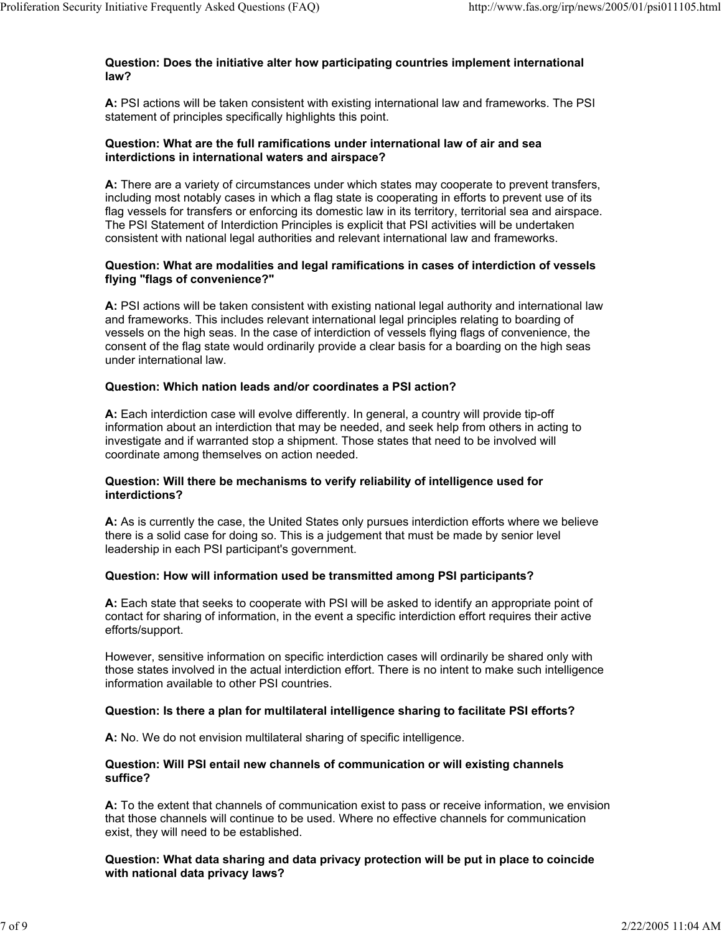## **Question: Does the initiative alter how participating countries implement international law?**

**A:** PSI actions will be taken consistent with existing international law and frameworks. The PSI statement of principles specifically highlights this point.

# **Question: What are the full ramifications under international law of air and sea interdictions in international waters and airspace?**

**A:** There are a variety of circumstances under which states may cooperate to prevent transfers, including most notably cases in which a flag state is cooperating in efforts to prevent use of its flag vessels for transfers or enforcing its domestic law in its territory, territorial sea and airspace. The PSI Statement of Interdiction Principles is explicit that PSI activities will be undertaken consistent with national legal authorities and relevant international law and frameworks.

# **Question: What are modalities and legal ramifications in cases of interdiction of vessels flying "flags of convenience?"**

**A:** PSI actions will be taken consistent with existing national legal authority and international law and frameworks. This includes relevant international legal principles relating to boarding of vessels on the high seas. In the case of interdiction of vessels flying flags of convenience, the consent of the flag state would ordinarily provide a clear basis for a boarding on the high seas under international law.

# **Question: Which nation leads and/or coordinates a PSI action?**

**A:** Each interdiction case will evolve differently. In general, a country will provide tip-off information about an interdiction that may be needed, and seek help from others in acting to investigate and if warranted stop a shipment. Those states that need to be involved will coordinate among themselves on action needed.

#### **Question: Will there be mechanisms to verify reliability of intelligence used for interdictions?**

**A:** As is currently the case, the United States only pursues interdiction efforts where we believe there is a solid case for doing so. This is a judgement that must be made by senior level leadership in each PSI participant's government.

# **Question: How will information used be transmitted among PSI participants?**

**A:** Each state that seeks to cooperate with PSI will be asked to identify an appropriate point of contact for sharing of information, in the event a specific interdiction effort requires their active efforts/support.

However, sensitive information on specific interdiction cases will ordinarily be shared only with those states involved in the actual interdiction effort. There is no intent to make such intelligence information available to other PSI countries.

#### **Question: Is there a plan for multilateral intelligence sharing to facilitate PSI efforts?**

**A:** No. We do not envision multilateral sharing of specific intelligence.

## **Question: Will PSI entail new channels of communication or will existing channels suffice?**

**A:** To the extent that channels of communication exist to pass or receive information, we envision that those channels will continue to be used. Where no effective channels for communication exist, they will need to be established.

# **Question: What data sharing and data privacy protection will be put in place to coincide with national data privacy laws?**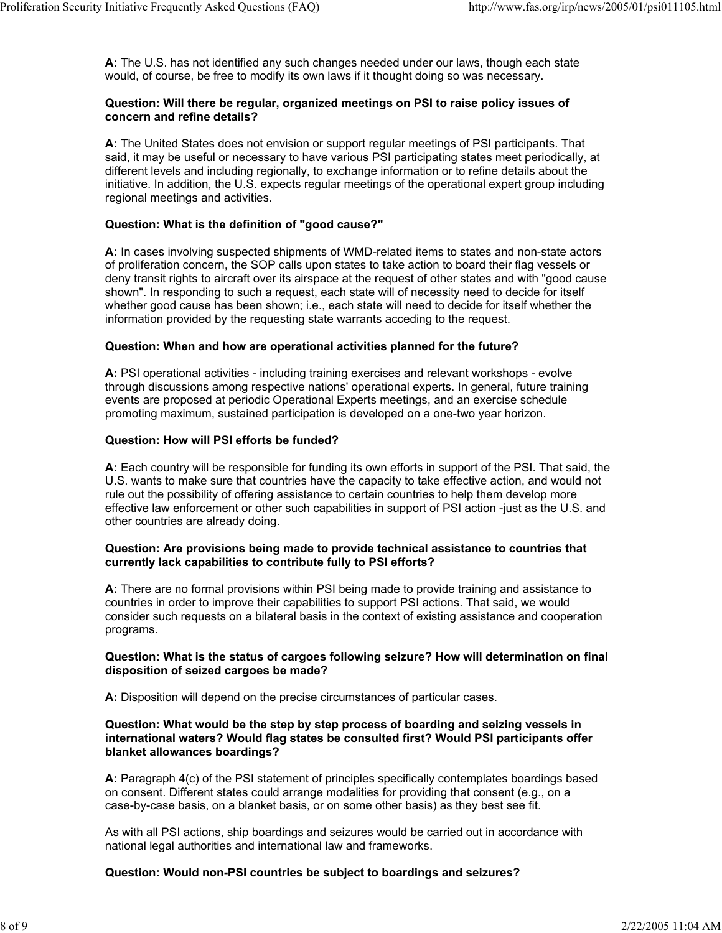**A:** The U.S. has not identified any such changes needed under our laws, though each state would, of course, be free to modify its own laws if it thought doing so was necessary.

## **Question: Will there be regular, organized meetings on PSI to raise policy issues of concern and refine details?**

**A:** The United States does not envision or support regular meetings of PSI participants. That said, it may be useful or necessary to have various PSI participating states meet periodically, at different levels and including regionally, to exchange information or to refine details about the initiative. In addition, the U.S. expects regular meetings of the operational expert group including regional meetings and activities.

# **Question: What is the definition of "good cause?"**

**A:** In cases involving suspected shipments of WMD-related items to states and non-state actors of proliferation concern, the SOP calls upon states to take action to board their flag vessels or deny transit rights to aircraft over its airspace at the request of other states and with "good cause shown". In responding to such a request, each state will of necessity need to decide for itself whether good cause has been shown; i.e., each state will need to decide for itself whether the information provided by the requesting state warrants acceding to the request.

# **Question: When and how are operational activities planned for the future?**

**A:** PSI operational activities - including training exercises and relevant workshops - evolve through discussions among respective nations' operational experts. In general, future training events are proposed at periodic Operational Experts meetings, and an exercise schedule promoting maximum, sustained participation is developed on a one-two year horizon.

# **Question: How will PSI efforts be funded?**

**A:** Each country will be responsible for funding its own efforts in support of the PSI. That said, the U.S. wants to make sure that countries have the capacity to take effective action, and would not rule out the possibility of offering assistance to certain countries to help them develop more effective law enforcement or other such capabilities in support of PSI action -just as the U.S. and other countries are already doing.

# **Question: Are provisions being made to provide technical assistance to countries that currently lack capabilities to contribute fully to PSI efforts?**

**A:** There are no formal provisions within PSI being made to provide training and assistance to countries in order to improve their capabilities to support PSI actions. That said, we would consider such requests on a bilateral basis in the context of existing assistance and cooperation programs.

#### **Question: What is the status of cargoes following seizure? How will determination on final disposition of seized cargoes be made?**

**A:** Disposition will depend on the precise circumstances of particular cases.

## **Question: What would be the step by step process of boarding and seizing vessels in international waters? Would flag states be consulted first? Would PSI participants offer blanket allowances boardings?**

**A:** Paragraph 4(c) of the PSI statement of principles specifically contemplates boardings based on consent. Different states could arrange modalities for providing that consent (e.g., on a case-by-case basis, on a blanket basis, or on some other basis) as they best see fit.

As with all PSI actions, ship boardings and seizures would be carried out in accordance with national legal authorities and international law and frameworks.

# **Question: Would non-PSI countries be subject to boardings and seizures?**